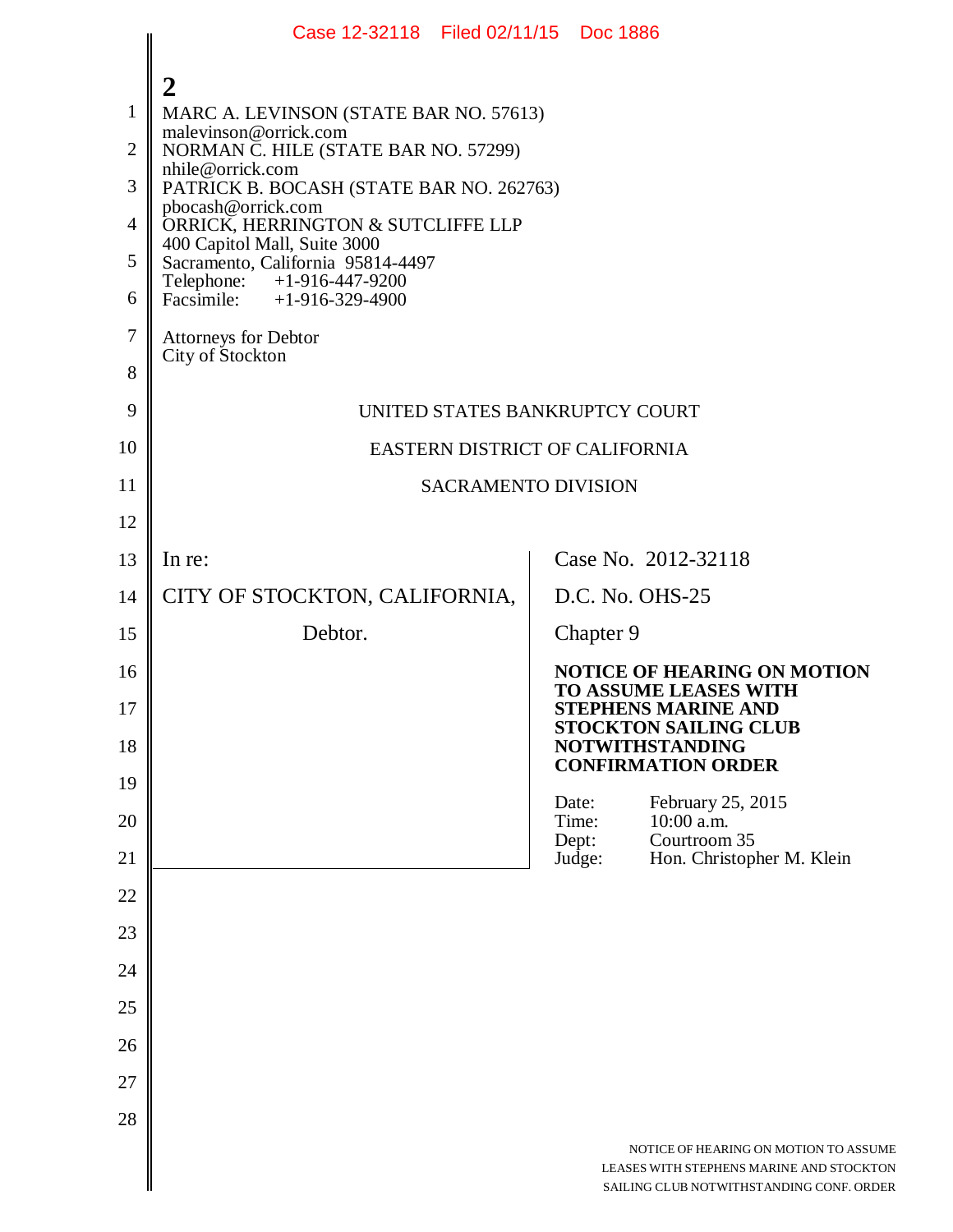|                                                              | Case 12-32118 Filed 02/11/15 Doc 1886                                                                                                                                                                                                                                                                                                                                                                                          |  |                          |                                                                                                                                  |  |  |
|--------------------------------------------------------------|--------------------------------------------------------------------------------------------------------------------------------------------------------------------------------------------------------------------------------------------------------------------------------------------------------------------------------------------------------------------------------------------------------------------------------|--|--------------------------|----------------------------------------------------------------------------------------------------------------------------------|--|--|
| $\mathbf{1}$<br>$\overline{2}$<br>3<br>4<br>5<br>6<br>$\tau$ | 2<br>MARC A. LEVINSON (STATE BAR NO. 57613)<br>malevinson@orrick.com<br>NORMAN C. HILE (STATE BAR NO. 57299)<br>nhile@orrick.com<br>PATRICK B. BOCASH (STATE BAR NO. 262763)<br>pbocash@orrick.com<br>ORRICK, HERRINGTON & SUTCLIFFE LLP<br>400 Capitol Mall, Suite 3000<br>Sacramento, California 95814-4497<br>Telephone: +1-916-447-9200<br>Facsimile: $+1-916-329-4900$<br><b>Attorneys for Debtor</b><br>City of Stockton |  |                          |                                                                                                                                  |  |  |
| 8<br>9                                                       | UNITED STATES BANKRUPTCY COURT                                                                                                                                                                                                                                                                                                                                                                                                 |  |                          |                                                                                                                                  |  |  |
| 10                                                           | EASTERN DISTRICT OF CALIFORNIA                                                                                                                                                                                                                                                                                                                                                                                                 |  |                          |                                                                                                                                  |  |  |
| 11                                                           | <b>SACRAMENTO DIVISION</b>                                                                                                                                                                                                                                                                                                                                                                                                     |  |                          |                                                                                                                                  |  |  |
| 12                                                           |                                                                                                                                                                                                                                                                                                                                                                                                                                |  |                          |                                                                                                                                  |  |  |
| 13                                                           | In re:                                                                                                                                                                                                                                                                                                                                                                                                                         |  |                          | Case No. 2012-32118                                                                                                              |  |  |
| 14                                                           | CITY OF STOCKTON, CALIFORNIA,                                                                                                                                                                                                                                                                                                                                                                                                  |  |                          | D.C. No. OHS-25                                                                                                                  |  |  |
| 15                                                           | Debtor.                                                                                                                                                                                                                                                                                                                                                                                                                        |  | Chapter 9                |                                                                                                                                  |  |  |
| 16<br>17                                                     |                                                                                                                                                                                                                                                                                                                                                                                                                                |  |                          | <b>NOTICE OF HEARING ON MOTION</b><br><b>TO ASSUME LEASES WITH</b><br><b>STEPHENS MARINE AND</b><br><b>STOCKTON SAILING CLUB</b> |  |  |
| 18                                                           |                                                                                                                                                                                                                                                                                                                                                                                                                                |  |                          | <b>NOTWITHSTANDING</b><br><b>CONFIRMATION ORDER</b>                                                                              |  |  |
| 19                                                           |                                                                                                                                                                                                                                                                                                                                                                                                                                |  | Date:                    | February 25, 2015                                                                                                                |  |  |
| 20<br>21                                                     |                                                                                                                                                                                                                                                                                                                                                                                                                                |  | Time:<br>Dept:<br>Judge: | 10:00 a.m.<br>Courtroom 35<br>Hon. Christopher M. Klein                                                                          |  |  |
| 22                                                           |                                                                                                                                                                                                                                                                                                                                                                                                                                |  |                          |                                                                                                                                  |  |  |
| 23                                                           |                                                                                                                                                                                                                                                                                                                                                                                                                                |  |                          |                                                                                                                                  |  |  |
| 24                                                           |                                                                                                                                                                                                                                                                                                                                                                                                                                |  |                          |                                                                                                                                  |  |  |
| 25                                                           |                                                                                                                                                                                                                                                                                                                                                                                                                                |  |                          |                                                                                                                                  |  |  |
| 26                                                           |                                                                                                                                                                                                                                                                                                                                                                                                                                |  |                          |                                                                                                                                  |  |  |
| 27                                                           |                                                                                                                                                                                                                                                                                                                                                                                                                                |  |                          |                                                                                                                                  |  |  |
| 28                                                           |                                                                                                                                                                                                                                                                                                                                                                                                                                |  |                          |                                                                                                                                  |  |  |
|                                                              |                                                                                                                                                                                                                                                                                                                                                                                                                                |  |                          | NOTICE OF HEARING ON MOTION TO ASSUME<br>LEASES WITH STEPHENS MARINE AND STOCKTON<br>SAILING CLUB NOTWITHSTANDING CONF. ORDER    |  |  |